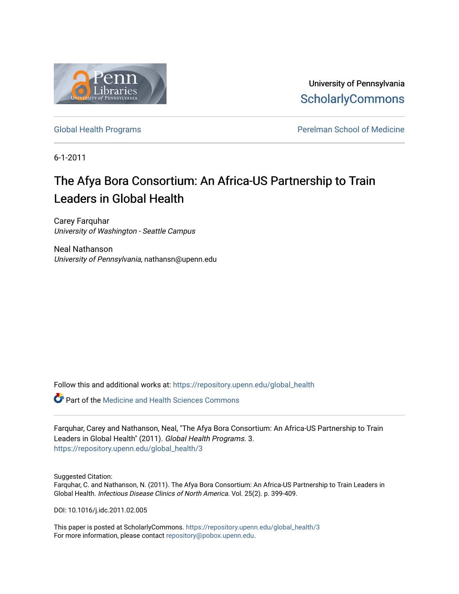

University of Pennsylvania **ScholarlyCommons** 

[Global Health Programs](https://repository.upenn.edu/global_health) **Perelman School of Medicine** 

6-1-2011

# The Afya Bora Consortium: An Africa-US Partnership to Train Leaders in Global Health

Carey Farquhar University of Washington - Seattle Campus

Neal Nathanson University of Pennsylvania, nathansn@upenn.edu

Follow this and additional works at: [https://repository.upenn.edu/global\\_health](https://repository.upenn.edu/global_health?utm_source=repository.upenn.edu%2Fglobal_health%2F3&utm_medium=PDF&utm_campaign=PDFCoverPages) 

**Part of the Medicine and Health Sciences Commons** 

Farquhar, Carey and Nathanson, Neal, "The Afya Bora Consortium: An Africa-US Partnership to Train Leaders in Global Health" (2011). Global Health Programs. 3. [https://repository.upenn.edu/global\\_health/3](https://repository.upenn.edu/global_health/3?utm_source=repository.upenn.edu%2Fglobal_health%2F3&utm_medium=PDF&utm_campaign=PDFCoverPages) 

Suggested Citation:

Farquhar, C. and Nathanson, N. (2011). The Afya Bora Consortium: An Africa-US Partnership to Train Leaders in Global Health. Infectious Disease Clinics of North America. Vol. 25(2). p. 399-409.

DOI: 10.1016/j.idc.2011.02.005

This paper is posted at ScholarlyCommons. [https://repository.upenn.edu/global\\_health/3](https://repository.upenn.edu/global_health/3)  For more information, please contact [repository@pobox.upenn.edu.](mailto:repository@pobox.upenn.edu)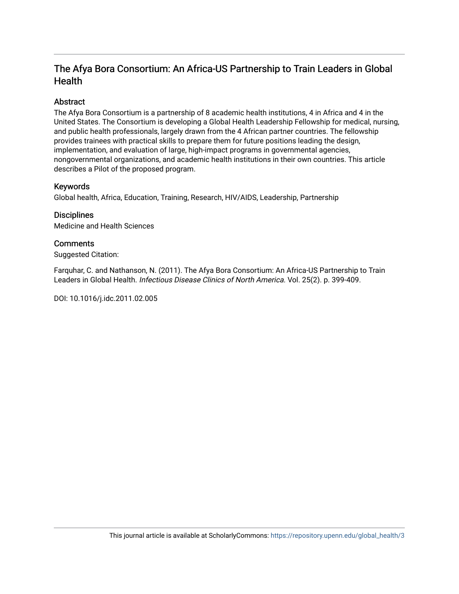# The Afya Bora Consortium: An Africa-US Partnership to Train Leaders in Global **Health**

# Abstract

The Afya Bora Consortium is a partnership of 8 academic health institutions, 4 in Africa and 4 in the United States. The Consortium is developing a Global Health Leadership Fellowship for medical, nursing, and public health professionals, largely drawn from the 4 African partner countries. The fellowship provides trainees with practical skills to prepare them for future positions leading the design, implementation, and evaluation of large, high-impact programs in governmental agencies, nongovernmental organizations, and academic health institutions in their own countries. This article describes a Pilot of the proposed program.

# Keywords

Global health, Africa, Education, Training, Research, HIV/AIDS, Leadership, Partnership

**Disciplines** Medicine and Health Sciences

# **Comments**

Suggested Citation:

Farquhar, C. and Nathanson, N. (2011). The Afya Bora Consortium: An Africa-US Partnership to Train Leaders in Global Health. Infectious Disease Clinics of North America. Vol. 25(2). p. 399-409.

DOI: 10.1016/j.idc.2011.02.005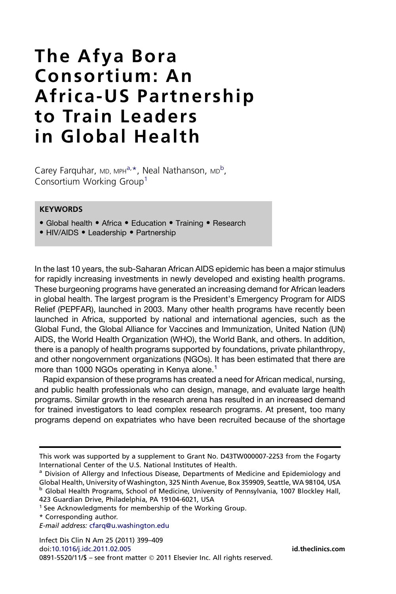# The Afya Bora Consortium: An Africa-US Partnership to Train Leaders in Global Health

Carey rarquhar, MD, MPH<br>Consortium Working Gro Carey Farquhar, MD, MPHa,\*, Neal Nathanson, MDb, , Consortium Working Group<sup>1</sup>

#### **KEYWORDS**

- Global health Africa Education Training Research
- HIV/AIDS Leadership Partnership

In the last 10 years, the sub-Saharan African AIDS epidemic has been a major stimulus for rapidly increasing investments in newly developed and existing health programs. These burgeoning programs have generated an increasing demand for African leaders in global health. The largest program is the President's Emergency Program for AIDS Relief (PEPFAR), launched in 2003. Many other health programs have recently been launched in Africa, supported by national and international agencies, such as the Global Fund, the Global Alliance for Vaccines and Immunization, United Nation (UN) AIDS, the World Health Organization (WHO), the World Bank, and others. In addition, there is a panoply of health programs supported by foundations, private philanthropy, and other nongovernment organizations (NGOs). It has been estimated that there are more than [1](#page-11-0)000 NGOs operating in Kenya alone.<sup>1</sup>

Rapid expansion of these programs has created a need for African medical, nursing, and public health professionals who can design, manage, and evaluate large health programs. Similar growth in the research arena has resulted in an increased demand for trained investigators to lead complex research programs. At present, too many programs depend on expatriates who have been recruited because of the shortage

\* Corresponding author.

This work was supported by a supplement to Grant No. D43TW000007-22S3 from the Fogarty International Center of the U.S. National Institutes of Health.

<sup>&</sup>lt;sup>a</sup> Division of Allergy and Infectious Disease, Departments of Medicine and Epidemiology and Global Health, University of Washington, 325 Ninth Avenue, Box 359909, Seattle, WA 98104, USA <sup>b</sup> Global Health Programs, School of Medicine, University of Pennsylvania, 1007 Blockley Hall, 423 Guardian Drive, Philadelphia, PA 19104-6021, USA

<sup>&</sup>lt;sup>1</sup> See Acknowledgments for membership of the Working Group.

E-mail address: [cfarq@u.washington.edu](mailto:cfarq@u.washington.edu)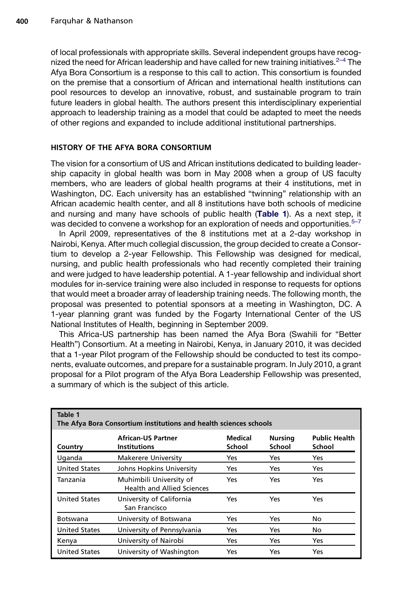of local professionals with appropriate skills. Several independent groups have recognized the need for African leadership and have called for new training initiatives. $2-4$  The Afya Bora Consortium is a response to this call to action. This consortium is founded on the premise that a consortium of African and international health institutions can pool resources to develop an innovative, robust, and sustainable program to train future leaders in global health. The authors present this interdisciplinary experiential approach to leadership training as a model that could be adapted to meet the needs of other regions and expanded to include additional institutional partnerships.

### HISTORY OF THE AFYA BORA CONSORTIUM

The vision for a consortium of US and African institutions dedicated to building leadership capacity in global health was born in May 2008 when a group of US faculty members, who are leaders of global health programs at their 4 institutions, met in Washington, DC. Each university has an established "twinning" relationship with an African academic health center, and all 8 institutions have both schools of medicine and nursing and many have schools of public health (Table 1). As a next step, it was decided to convene a workshop for an exploration of needs and opportunities.<sup>5-7</sup>

In April 2009, representatives of the 8 institutions met at a 2-day workshop in Nairobi, Kenya. After much collegial discussion, the group decided to create a Consortium to develop a 2-year Fellowship. This Fellowship was designed for medical, nursing, and public health professionals who had recently completed their training and were judged to have leadership potential. A 1-year fellowship and individual short modules for in-service training were also included in response to requests for options that would meet a broader array of leadership training needs. The following month, the proposal was presented to potential sponsors at a meeting in Washington, DC. A 1-year planning grant was funded by the Fogarty International Center of the US National Institutes of Health, beginning in September 2009.

This Africa-US partnership has been named the Afya Bora (Swahili for "Better Health") Consortium. At a meeting in Nairobi, Kenya, in January 2010, it was decided that a 1-year Pilot program of the Fellowship should be conducted to test its components, evaluate outcomes, and prepare for a sustainable program. In July 2010, a grant proposal for a Pilot program of the Afya Bora Leadership Fellowship was presented, a summary of which is the subject of this article.

| Table 1<br>The Afya Bora Consortium institutions and health sciences schools |                                                              |                   |                          |                                |  |
|------------------------------------------------------------------------------|--------------------------------------------------------------|-------------------|--------------------------|--------------------------------|--|
| Country                                                                      | <b>African-US Partner</b><br><b>Institutions</b>             | Medical<br>School | <b>Nursing</b><br>School | <b>Public Health</b><br>School |  |
| Uganda                                                                       | <b>Makerere University</b>                                   | Yes               | Yes                      | Yes                            |  |
| <b>United States</b>                                                         | Johns Hopkins University                                     | Yes               | Yes                      | Yes                            |  |
| Tanzania                                                                     | Muhimbili University of<br><b>Health and Allied Sciences</b> | Yes               | Yes                      | Yes                            |  |
| <b>United States</b>                                                         | University of California<br>San Francisco                    | Yes               | Yes                      | Yes                            |  |
| <b>Botswana</b>                                                              | University of Botswana                                       | Yes               | Yes                      | No                             |  |
| <b>United States</b>                                                         | University of Pennsylvania                                   | Yes               | Yes                      | No                             |  |
| Kenya                                                                        | University of Nairobi                                        | Yes               | Yes                      | Yes                            |  |
| <b>United States</b>                                                         | University of Washington                                     | Yes               | Yes                      | Yes                            |  |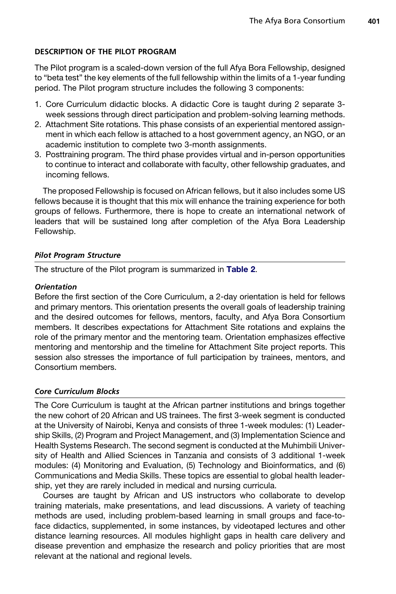### DESCRIPTION OF THE PILOT PROGRAM

The Pilot program is a scaled-down version of the full Afya Bora Fellowship, designed to "beta test" the key elements of the full fellowship within the limits of a 1-year funding period. The Pilot program structure includes the following 3 components:

- 1. Core Curriculum didactic blocks. A didactic Core is taught during 2 separate 3 week sessions through direct participation and problem-solving learning methods.
- 2. Attachment Site rotations. This phase consists of an experiential mentored assignment in which each fellow is attached to a host government agency, an NGO, or an academic institution to complete two 3-month assignments.
- 3. Posttraining program. The third phase provides virtual and in-person opportunities to continue to interact and collaborate with faculty, other fellowship graduates, and incoming fellows.

The proposed Fellowship is focused on African fellows, but it also includes some US fellows because it is thought that this mix will enhance the training experience for both groups of fellows. Furthermore, there is hope to create an international network of leaders that will be sustained long after completion of the Afya Bora Leadership Fellowship.

## Pilot Program Structure

The structure of the Pilot program is summarized in [Table 2](#page-5-0).

## **Orientation**

Before the first section of the Core Curriculum, a 2-day orientation is held for fellows and primary mentors. This orientation presents the overall goals of leadership training and the desired outcomes for fellows, mentors, faculty, and Afya Bora Consortium members. It describes expectations for Attachment Site rotations and explains the role of the primary mentor and the mentoring team. Orientation emphasizes effective mentoring and mentorship and the timeline for Attachment Site project reports. This session also stresses the importance of full participation by trainees, mentors, and Consortium members.

# Core Curriculum Blocks

The Core Curriculum is taught at the African partner institutions and brings together the new cohort of 20 African and US trainees. The first 3-week segment is conducted at the University of Nairobi, Kenya and consists of three 1-week modules: (1) Leadership Skills, (2) Program and Project Management, and (3) Implementation Science and Health Systems Research. The second segment is conducted at the Muhimbili University of Health and Allied Sciences in Tanzania and consists of 3 additional 1-week modules: (4) Monitoring and Evaluation, (5) Technology and Bioinformatics, and (6) Communications and Media Skills. These topics are essential to global health leadership, yet they are rarely included in medical and nursing curricula.

Courses are taught by African and US instructors who collaborate to develop training materials, make presentations, and lead discussions. A variety of teaching methods are used, including problem-based learning in small groups and face-toface didactics, supplemented, in some instances, by videotaped lectures and other distance learning resources. All modules highlight gaps in health care delivery and disease prevention and emphasize the research and policy priorities that are most relevant at the national and regional levels.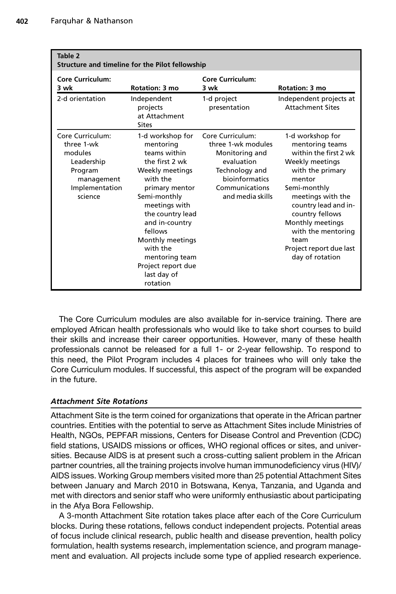<span id="page-5-0"></span>

| Table 2<br>Structure and timeline for the Pilot fellowship                                                    |                                                                                                                                                                                                                                                                                                       |                                                                                                                                                         |                                                                                                                                                                                                                                                                                               |  |  |
|---------------------------------------------------------------------------------------------------------------|-------------------------------------------------------------------------------------------------------------------------------------------------------------------------------------------------------------------------------------------------------------------------------------------------------|---------------------------------------------------------------------------------------------------------------------------------------------------------|-----------------------------------------------------------------------------------------------------------------------------------------------------------------------------------------------------------------------------------------------------------------------------------------------|--|--|
| <b>Core Curriculum:</b><br>3 wk                                                                               | <b>Rotation: 3 mo</b>                                                                                                                                                                                                                                                                                 | Core Curriculum:<br>3 wk                                                                                                                                | <b>Rotation: 3 mo</b>                                                                                                                                                                                                                                                                         |  |  |
| 2-d orientation                                                                                               | Independent<br>projects<br>at Attachment<br><b>Sites</b>                                                                                                                                                                                                                                              | 1-d project<br>presentation                                                                                                                             | Independent projects at<br><b>Attachment Sites</b>                                                                                                                                                                                                                                            |  |  |
| Core Curriculum:<br>three 1-wk<br>modules<br>Leadership<br>Program<br>management<br>Implementation<br>science | 1-d workshop for<br>mentoring<br>teams within<br>the first 2 wk<br>Weekly meetings<br>with the<br>primary mentor<br>Semi-monthly<br>meetings with<br>the country lead<br>and in-country<br>fellows<br>Monthly meetings<br>with the<br>mentoring team<br>Project report due<br>last day of<br>rotation | Core Curriculum:<br>three 1-wk modules<br>Monitoring and<br>evaluation<br>Technology and<br><b>bioinformatics</b><br>Communications<br>and media skills | 1-d workshop for<br>mentoring teams<br>within the first 2 wk<br>Weekly meetings<br>with the primary<br>mentor<br>Semi-monthly<br>meetings with the<br>country lead and in-<br>country fellows<br>Monthly meetings<br>with the mentoring<br>team<br>Project report due last<br>day of rotation |  |  |

The Core Curriculum modules are also available for in-service training. There are employed African health professionals who would like to take short courses to build their skills and increase their career opportunities. However, many of these health professionals cannot be released for a full 1- or 2-year fellowship. To respond to this need, the Pilot Program includes 4 places for trainees who will only take the Core Curriculum modules. If successful, this aspect of the program will be expanded in the future.

## Attachment Site Rotations

Attachment Site is the term coined for organizations that operate in the African partner countries. Entities with the potential to serve as Attachment Sites include Ministries of Health, NGOs, PEPFAR missions, Centers for Disease Control and Prevention (CDC) field stations, USAIDS missions or offices, WHO regional offices or sites, and universities. Because AIDS is at present such a cross-cutting salient problem in the African partner countries, all the training projects involve human immunodeficiency virus (HIV)/ AIDS issues. Working Group members visited more than 25 potential Attachment Sites between January and March 2010 in Botswana, Kenya, Tanzania, and Uganda and met with directors and senior staff who were uniformly enthusiastic about participating in the Afya Bora Fellowship.

A 3-month Attachment Site rotation takes place after each of the Core Curriculum blocks. During these rotations, fellows conduct independent projects. Potential areas of focus include clinical research, public health and disease prevention, health policy formulation, health systems research, implementation science, and program management and evaluation. All projects include some type of applied research experience.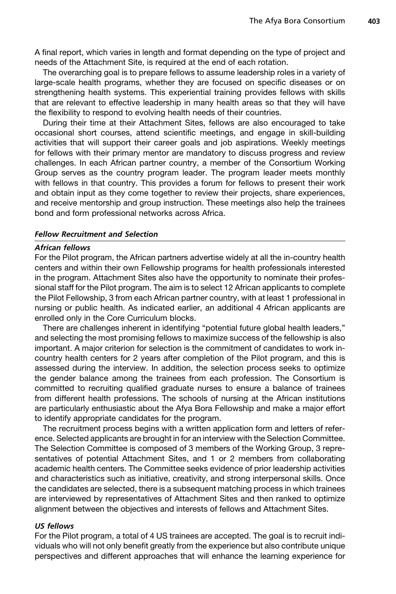A final report, which varies in length and format depending on the type of project and needs of the Attachment Site, is required at the end of each rotation.

The overarching goal is to prepare fellows to assume leadership roles in a variety of large-scale health programs, whether they are focused on specific diseases or on strengthening health systems. This experiential training provides fellows with skills that are relevant to effective leadership in many health areas so that they will have the flexibility to respond to evolving health needs of their countries.

During their time at their Attachment Sites, fellows are also encouraged to take occasional short courses, attend scientific meetings, and engage in skill-building activities that will support their career goals and job aspirations. Weekly meetings for fellows with their primary mentor are mandatory to discuss progress and review challenges. In each African partner country, a member of the Consortium Working Group serves as the country program leader. The program leader meets monthly with fellows in that country. This provides a forum for fellows to present their work and obtain input as they come together to review their projects, share experiences, and receive mentorship and group instruction. These meetings also help the trainees bond and form professional networks across Africa.

#### Fellow Recruitment and Selection

#### African fellows

For the Pilot program, the African partners advertise widely at all the in-country health centers and within their own Fellowship programs for health professionals interested in the program. Attachment Sites also have the opportunity to nominate their professional staff for the Pilot program. The aim is to select 12 African applicants to complete the Pilot Fellowship, 3 from each African partner country, with at least 1 professional in nursing or public health. As indicated earlier, an additional 4 African applicants are enrolled only in the Core Curriculum blocks.

There are challenges inherent in identifying "potential future global health leaders," and selecting the most promising fellows to maximize success of the fellowship is also important. A major criterion for selection is the commitment of candidates to work incountry health centers for 2 years after completion of the Pilot program, and this is assessed during the interview. In addition, the selection process seeks to optimize the gender balance among the trainees from each profession. The Consortium is committed to recruiting qualified graduate nurses to ensure a balance of trainees from different health professions. The schools of nursing at the African institutions are particularly enthusiastic about the Afya Bora Fellowship and make a major effort to identify appropriate candidates for the program.

The recruitment process begins with a written application form and letters of reference. Selected applicants are brought in for an interview with the Selection Committee. The Selection Committee is composed of 3 members of the Working Group, 3 representatives of potential Attachment Sites, and 1 or 2 members from collaborating academic health centers. The Committee seeks evidence of prior leadership activities and characteristics such as initiative, creativity, and strong interpersonal skills. Once the candidates are selected, there is a subsequent matching process in which trainees are interviewed by representatives of Attachment Sites and then ranked to optimize alignment between the objectives and interests of fellows and Attachment Sites.

#### US fellows

For the Pilot program, a total of 4 US trainees are accepted. The goal is to recruit individuals who will not only benefit greatly from the experience but also contribute unique perspectives and different approaches that will enhance the learning experience for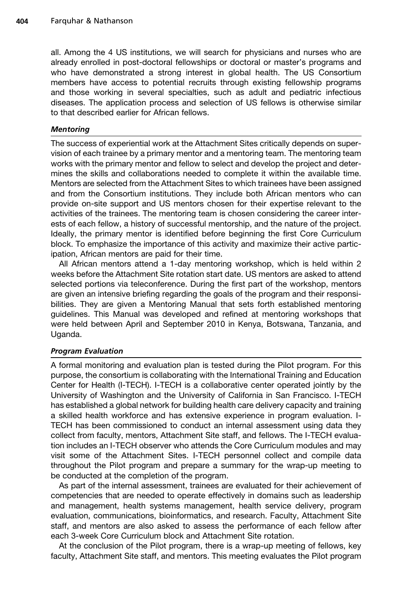all. Among the 4 US institutions, we will search for physicians and nurses who are already enrolled in post-doctoral fellowships or doctoral or master's programs and who have demonstrated a strong interest in global health. The US Consortium members have access to potential recruits through existing fellowship programs and those working in several specialties, such as adult and pediatric infectious diseases. The application process and selection of US fellows is otherwise similar to that described earlier for African fellows.

#### **Mentoring**

The success of experiential work at the Attachment Sites critically depends on supervision of each trainee by a primary mentor and a mentoring team. The mentoring team works with the primary mentor and fellow to select and develop the project and determines the skills and collaborations needed to complete it within the available time. Mentors are selected from the Attachment Sites to which trainees have been assigned and from the Consortium institutions. They include both African mentors who can provide on-site support and US mentors chosen for their expertise relevant to the activities of the trainees. The mentoring team is chosen considering the career interests of each fellow, a history of successful mentorship, and the nature of the project. Ideally, the primary mentor is identified before beginning the first Core Curriculum block. To emphasize the importance of this activity and maximize their active participation, African mentors are paid for their time.

All African mentors attend a 1-day mentoring workshop, which is held within 2 weeks before the Attachment Site rotation start date. US mentors are asked to attend selected portions via teleconference. During the first part of the workshop, mentors are given an intensive briefing regarding the goals of the program and their responsibilities. They are given a Mentoring Manual that sets forth established mentoring guidelines. This Manual was developed and refined at mentoring workshops that were held between April and September 2010 in Kenya, Botswana, Tanzania, and Uganda.

#### Program Evaluation

A formal monitoring and evaluation plan is tested during the Pilot program. For this purpose, the consortium is collaborating with the International Training and Education Center for Health (I-TECH). I-TECH is a collaborative center operated jointly by the University of Washington and the University of California in San Francisco. I-TECH has established a global network for building health care delivery capacity and training a skilled health workforce and has extensive experience in program evaluation. I-TECH has been commissioned to conduct an internal assessment using data they collect from faculty, mentors, Attachment Site staff, and fellows. The I-TECH evaluation includes an I-TECH observer who attends the Core Curriculum modules and may visit some of the Attachment Sites. I-TECH personnel collect and compile data throughout the Pilot program and prepare a summary for the wrap-up meeting to be conducted at the completion of the program.

As part of the internal assessment, trainees are evaluated for their achievement of competencies that are needed to operate effectively in domains such as leadership and management, health systems management, health service delivery, program evaluation, communications, bioinformatics, and research. Faculty, Attachment Site staff, and mentors are also asked to assess the performance of each fellow after each 3-week Core Curriculum block and Attachment Site rotation.

At the conclusion of the Pilot program, there is a wrap-up meeting of fellows, key faculty, Attachment Site staff, and mentors. This meeting evaluates the Pilot program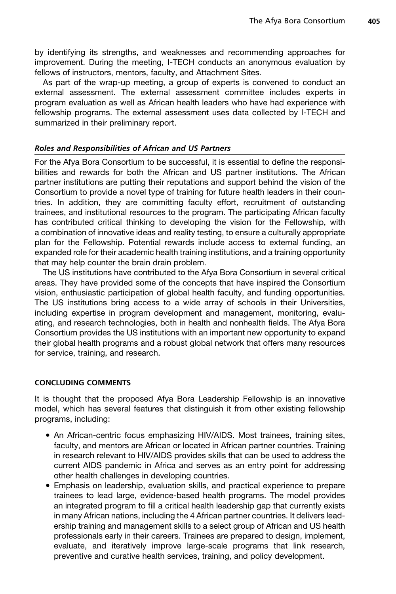by identifying its strengths, and weaknesses and recommending approaches for improvement. During the meeting, I-TECH conducts an anonymous evaluation by fellows of instructors, mentors, faculty, and Attachment Sites.

As part of the wrap-up meeting, a group of experts is convened to conduct an external assessment. The external assessment committee includes experts in program evaluation as well as African health leaders who have had experience with fellowship programs. The external assessment uses data collected by I-TECH and summarized in their preliminary report.

## Roles and Responsibilities of African and US Partners

For the Afya Bora Consortium to be successful, it is essential to define the responsibilities and rewards for both the African and US partner institutions. The African partner institutions are putting their reputations and support behind the vision of the Consortium to provide a novel type of training for future health leaders in their countries. In addition, they are committing faculty effort, recruitment of outstanding trainees, and institutional resources to the program. The participating African faculty has contributed critical thinking to developing the vision for the Fellowship, with a combination of innovative ideas and reality testing, to ensure a culturally appropriate plan for the Fellowship. Potential rewards include access to external funding, an expanded role for their academic health training institutions, and a training opportunity that may help counter the brain drain problem.

The US institutions have contributed to the Afya Bora Consortium in several critical areas. They have provided some of the concepts that have inspired the Consortium vision, enthusiastic participation of global health faculty, and funding opportunities. The US institutions bring access to a wide array of schools in their Universities, including expertise in program development and management, monitoring, evaluating, and research technologies, both in health and nonhealth fields. The Afya Bora Consortium provides the US institutions with an important new opportunity to expand their global health programs and a robust global network that offers many resources for service, training, and research.

# CONCLUDING COMMENTS

It is thought that the proposed Afya Bora Leadership Fellowship is an innovative model, which has several features that distinguish it from other existing fellowship programs, including:

- An African-centric focus emphasizing HIV/AIDS. Most trainees, training sites, faculty, and mentors are African or located in African partner countries. Training in research relevant to HIV/AIDS provides skills that can be used to address the current AIDS pandemic in Africa and serves as an entry point for addressing other health challenges in developing countries.
- Emphasis on leadership, evaluation skills, and practical experience to prepare trainees to lead large, evidence-based health programs. The model provides an integrated program to fill a critical health leadership gap that currently exists in many African nations, including the 4 African partner countries. It delivers leadership training and management skills to a select group of African and US health professionals early in their careers. Trainees are prepared to design, implement, evaluate, and iteratively improve large-scale programs that link research, preventive and curative health services, training, and policy development.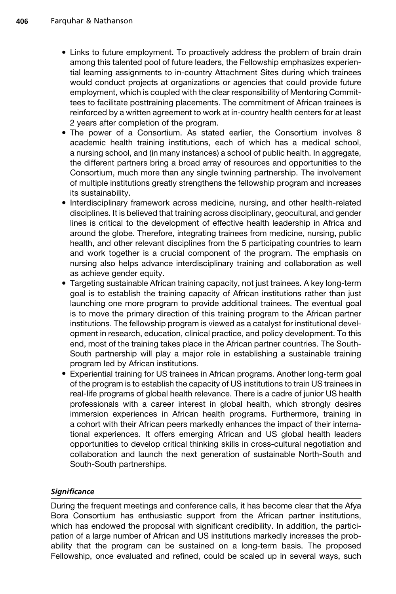- Links to future employment. To proactively address the problem of brain drain among this talented pool of future leaders, the Fellowship emphasizes experiential learning assignments to in-country Attachment Sites during which trainees would conduct projects at organizations or agencies that could provide future employment, which is coupled with the clear responsibility of Mentoring Committees to facilitate posttraining placements. The commitment of African trainees is reinforced by a written agreement to work at in-country health centers for at least 2 years after completion of the program.
- The power of a Consortium. As stated earlier, the Consortium involves 8 academic health training institutions, each of which has a medical school, a nursing school, and (in many instances) a school of public health. In aggregate, the different partners bring a broad array of resources and opportunities to the Consortium, much more than any single twinning partnership. The involvement of multiple institutions greatly strengthens the fellowship program and increases its sustainability.
- Interdisciplinary framework across medicine, nursing, and other health-related disciplines. It is believed that training across disciplinary, geocultural, and gender lines is critical to the development of effective health leadership in Africa and around the globe. Therefore, integrating trainees from medicine, nursing, public health, and other relevant disciplines from the 5 participating countries to learn and work together is a crucial component of the program. The emphasis on nursing also helps advance interdisciplinary training and collaboration as well as achieve gender equity.
- Targeting sustainable African training capacity, not just trainees. A key long-term goal is to establish the training capacity of African institutions rather than just launching one more program to provide additional trainees. The eventual goal is to move the primary direction of this training program to the African partner institutions. The fellowship program is viewed as a catalyst for institutional development in research, education, clinical practice, and policy development. To this end, most of the training takes place in the African partner countries. The South-South partnership will play a major role in establishing a sustainable training program led by African institutions.
- Experiential training for US trainees in African programs. Another long-term goal of the program is to establish the capacity of US institutions to train US trainees in real-life programs of global health relevance. There is a cadre of junior US health professionals with a career interest in global health, which strongly desires immersion experiences in African health programs. Furthermore, training in a cohort with their African peers markedly enhances the impact of their international experiences. It offers emerging African and US global health leaders opportunities to develop critical thinking skills in cross-cultural negotiation and collaboration and launch the next generation of sustainable North-South and South-South partnerships.

# **Significance**

During the frequent meetings and conference calls, it has become clear that the Afya Bora Consortium has enthusiastic support from the African partner institutions, which has endowed the proposal with significant credibility. In addition, the participation of a large number of African and US institutions markedly increases the probability that the program can be sustained on a long-term basis. The proposed Fellowship, once evaluated and refined, could be scaled up in several ways, such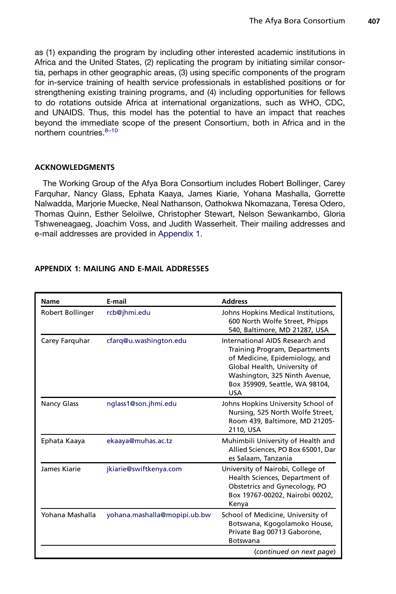as (1) expanding the program by including other interested academic institutions in Africa and the United States, (2) replicating the program by initiating similar consortia, perhaps in other geographic areas, (3) using specific components of the program for in-service training of health service professionals in established positions or for strengthening existing training programs, and (4) including opportunities for fellows to do rotations outside Africa at international organizations, such as WHO, CDC, and UNAIDS. Thus, this model has the potential to have an impact that reaches beyond the immediate scope of the present Consortium, both in Africa and in the northern countries.<sup>8-10</sup>

#### ACKNOWLEDGMENTS

The Working Group of the Afya Bora Consortium includes Robert Bollinger, Carey Farquhar, Nancy Glass, Ephata Kaaya, James Kiarie, Yohana Mashalla, Gorrette Nalwadda, Marjorie Muecke, Neal Nathanson, Oathokwa Nkomazana, Teresa Odero, Thomas Quinn, Esther Seloilwe, Christopher Stewart, Nelson Sewankambo, Gloria Tshweneagaeg, Joachim Voss, and Judith Wasserheit. Their mailing addresses and e-mail addresses are provided in Appendix 1.

#### APPENDIX 1: MAILING AND E-MAIL ADDRESSES

| <b>Name</b>      | E-mail                       | <b>Address</b>                                                                                                                                                                                                      |
|------------------|------------------------------|---------------------------------------------------------------------------------------------------------------------------------------------------------------------------------------------------------------------|
| Robert Bollinger | rcb@jhmi.edu                 | Johns Hopkins Medical Institutions,<br>600 North Wolfe Street, Phipps<br>540, Baltimore, MD 21287, USA                                                                                                              |
| Carey Farguhar   | cfarg@u.washington.edu       | International AIDS Research and<br>Training Program, Departments<br>of Medicine, Epidemiology, and<br>Global Health, University of<br>Washington, 325 Ninth Avenue,<br>Box 359909, Seattle, WA 98104,<br><b>USA</b> |
| Nancy Glass      | nglass1@son.jhmi.edu         | Johns Hopkins University School of<br>Nursing, 525 North Wolfe Street,<br>Room 439, Baltimore, MD 21205-<br>2110, USA                                                                                               |
| Ephata Kaaya     | ekaaya@muhas.ac.tz           | Muhimbili University of Health and<br>Allied Sciences, PO Box 65001, Dar<br>es Salaam, Tanzania                                                                                                                     |
| James Kiarie     | jkiarie@swiftkenya.com       | University of Nairobi, College of<br>Health Sciences, Department of<br>Obstetrics and Gynecology, PO<br>Box 19767-00202, Nairobi 00202,<br>Kenya                                                                    |
| Yohana Mashalla  | yohana.mashalla@mopipi.ub.bw | School of Medicine, University of<br>Botswana, Kgogolamoko House,<br>Private Bag 00713 Gaborone,<br><b>Botswana</b>                                                                                                 |
|                  |                              | (continued on next page)                                                                                                                                                                                            |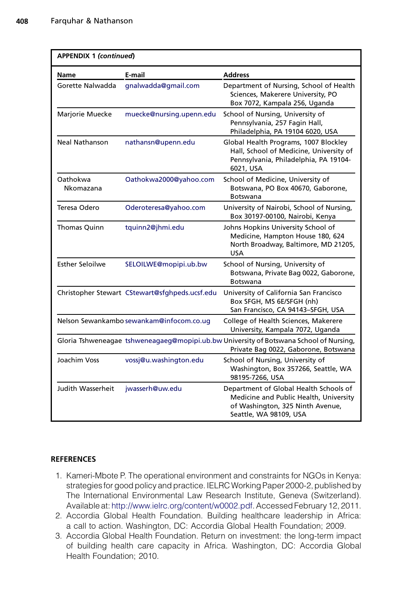<span id="page-11-0"></span>

| <b>APPENDIX 1 (continued)</b>                                                                                                  |                                                |                                                                                                                                                |  |  |
|--------------------------------------------------------------------------------------------------------------------------------|------------------------------------------------|------------------------------------------------------------------------------------------------------------------------------------------------|--|--|
| Name                                                                                                                           | E-mail                                         | <b>Address</b>                                                                                                                                 |  |  |
| Gorette Nalwadda                                                                                                               | gnalwadda@gmail.com                            | Department of Nursing, School of Health<br>Sciences, Makerere University, PO<br>Box 7072, Kampala 256, Uganda                                  |  |  |
| Marjorie Muecke                                                                                                                | muecke@nursing.upenn.edu                       | School of Nursing, University of<br>Pennsylvania, 257 Fagin Hall,<br>Philadelphia, PA 19104 6020, USA                                          |  |  |
| Neal Nathanson                                                                                                                 | nathansn@upenn.edu                             | Global Health Programs, 1007 Blockley<br>Hall, School of Medicine, University of<br>Pennsylvania, Philadelphia, PA 19104-<br>6021, USA         |  |  |
| Oathokwa<br>Nkomazana                                                                                                          | Oathokwa2000@yahoo.com                         | School of Medicine, University of<br>Botswana, PO Box 40670, Gaborone,<br><b>Botswana</b>                                                      |  |  |
| Teresa Odero                                                                                                                   | Oderoteresa@yahoo.com                          | University of Nairobi, School of Nursing,<br>Box 30197-00100, Nairobi, Kenya                                                                   |  |  |
| <b>Thomas Quinn</b>                                                                                                            | tquinn2@jhmi.edu                               | Johns Hopkins University School of<br>Medicine, Hampton House 180, 624<br>North Broadway, Baltimore, MD 21205,<br><b>USA</b>                   |  |  |
| <b>Esther Seloilwe</b>                                                                                                         | SELOILWE@mopipi.ub.bw                          | School of Nursing, University of<br>Botswana, Private Bag 0022, Gaborone,<br><b>Botswana</b>                                                   |  |  |
|                                                                                                                                | Christopher Stewart CStewart@sfghpeds.ucsf.edu | University of California San Francisco<br>Box SFGH, MS 6E/SFGH (nh)<br>San Francisco, CA 94143-SFGH, USA                                       |  |  |
|                                                                                                                                | Nelson Sewankambo sewankam@infocom.co.ug       | College of Health Sciences, Makerere<br>University, Kampala 7072, Uganda                                                                       |  |  |
| Gloria Tshweneagae tshweneagaeg@mopipi.ub.bw University of Botswana School of Nursing,<br>Private Bag 0022, Gaborone, Botswana |                                                |                                                                                                                                                |  |  |
| <b>Joachim Voss</b>                                                                                                            | vossj@u.washington.edu                         | School of Nursing, University of<br>Washington, Box 357266, Seattle, WA<br>98195-7266, USA                                                     |  |  |
| Judith Wasserheit                                                                                                              | jwasserh@uw.edu                                | Department of Global Health Schools of<br>Medicine and Public Health, University<br>of Washington, 325 Ninth Avenue,<br>Seattle, WA 98109, USA |  |  |

# **REFERENCES**

- 1. Kameri-Mbote P. The operational environment and constraints for NGOs in Kenya: strategies for good policy and practice. IELRC Working Paper 2000-2, published by The International Environmental Law Research Institute, Geneva (Switzerland). Available at: <http://www.ielrc.org/content/w0002.pdf>. Accessed February 12, 2011.
- 2. Accordia Global Health Foundation. Building healthcare leadership in Africa: a call to action. Washington, DC: Accordia Global Health Foundation; 2009.
- 3. Accordia Global Health Foundation. Return on investment: the long-term impact of building health care capacity in Africa. Washington, DC: Accordia Global Health Foundation; 2010.